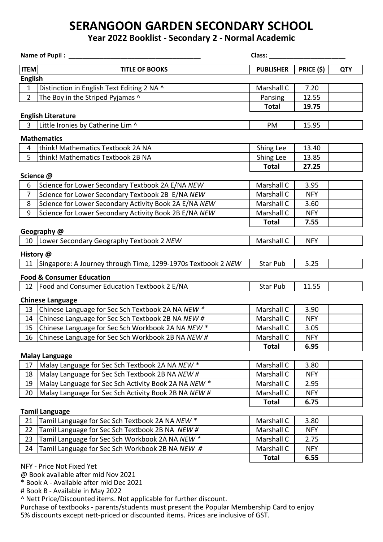## **SERANGOON GARDEN SECONDARY SCHOOL**

### **Year 2022 Booklist - Secondary 2 - Normal Academic**

| Name of Pupil:            |                                                              | Class:           |                   |            |  |  |
|---------------------------|--------------------------------------------------------------|------------------|-------------------|------------|--|--|
| <b>ITEM</b>               | <b>TITLE OF BOOKS</b>                                        | <b>PUBLISHER</b> | <b>PRICE (\$)</b> | <b>QTY</b> |  |  |
| <b>English</b>            |                                                              |                  |                   |            |  |  |
| $\mathbf{1}$              | Distinction in English Text Editing 2 NA ^                   | Marshall C       | 7.20              |            |  |  |
| $\overline{2}$            | The Boy in the Striped Pyjamas ^                             | Pansing          | 12.55             |            |  |  |
|                           |                                                              | <b>Total</b>     | 19.75             |            |  |  |
| <b>English Literature</b> |                                                              |                  |                   |            |  |  |
| $\overline{\mathbf{3}}$   | Little Ironies by Catherine Lim ^                            | PM               | 15.95             |            |  |  |
| <b>Mathematics</b>        |                                                              |                  |                   |            |  |  |
| 4                         | think! Mathematics Textbook 2A NA                            | Shing Lee        | 13.40             |            |  |  |
| 5                         | think! Mathematics Textbook 2B NA                            | Shing Lee        | 13.85             |            |  |  |
|                           |                                                              | <b>Total</b>     | 27.25             |            |  |  |
| Science @                 |                                                              |                  |                   |            |  |  |
| 6                         | Science for Lower Secondary Textbook 2A E/NA NEW             | Marshall C       | 3.95              |            |  |  |
| $\overline{7}$            | Science for Lower Secondary Textbook 2B E/NA NEW             | Marshall C       | <b>NFY</b>        |            |  |  |
| 8                         | Science for Lower Secondary Activity Book 2A E/NA NEW        | Marshall C       | 3.60              |            |  |  |
| 9                         | Science for Lower Secondary Activity Book 2B E/NA NEW        | Marshall C       | <b>NFY</b>        |            |  |  |
|                           |                                                              | <b>Total</b>     | 7.55              |            |  |  |
|                           | Geography @                                                  |                  |                   |            |  |  |
|                           | 10   Lower Secondary Geography Textbook 2 NEW                | Marshall C       | <b>NFY</b>        |            |  |  |
| History @                 |                                                              |                  |                   |            |  |  |
| 11                        | Singapore: A Journey through Time, 1299-1970s Textbook 2 NEW | Star Pub         | 5.25              |            |  |  |
|                           | <b>Food &amp; Consumer Education</b>                         |                  |                   |            |  |  |
| 12                        | Food and Consumer Education Textbook 2 E/NA                  | Star Pub         | 11.55             |            |  |  |
|                           | <b>Chinese Language</b>                                      |                  |                   |            |  |  |
| 13                        | Chinese Language for Sec Sch Textbook 2A NA NEW *            | Marshall C       | 3.90              |            |  |  |
| 14                        | Chinese Language for Sec Sch Textbook 2B NA NEW #            | Marshall C       | <b>NFY</b>        |            |  |  |
| 15                        | Chinese Language for Sec Sch Workbook 2A NA NEW *            | Marshall C       | 3.05              |            |  |  |
| 16                        | Chinese Language for Sec Sch Workbook 2B NA NEW #            | Marshall C       | <b>NFY</b>        |            |  |  |
|                           |                                                              | <b>Total</b>     | 6.95              |            |  |  |
|                           | <b>Malay Language</b>                                        |                  |                   |            |  |  |
| 17                        | Malay Language for Sec Sch Textbook 2A NA NEW *              | Marshall C       | 3.80              |            |  |  |
| 18                        | Malay Language for Sec Sch Textbook 2B NA NEW #              | Marshall C       | <b>NFY</b>        |            |  |  |
| 19                        | Malay Language for Sec Sch Activity Book 2A NA NEW *         | Marshall C       | 2.95              |            |  |  |
| 20                        | Malay Language for Sec Sch Activity Book 2B NA NEW #         | Marshall C       | <b>NFY</b>        |            |  |  |
|                           |                                                              | <b>Total</b>     | 6.75              |            |  |  |
|                           | <b>Tamil Language</b>                                        |                  |                   |            |  |  |
| 21                        | Tamil Language for Sec Sch Textbook 2A NA NEW *              | Marshall C       | 3.80              |            |  |  |
| 22                        | Tamil Language for Sec Sch Textbook 2B NA NEW #              | Marshall C       | <b>NFY</b>        |            |  |  |
| 23                        | Tamil Language for Sec Sch Workbook 2A NA NEW *              | Marshall C       | 2.75              |            |  |  |
| 24                        | Tamil Language for Sec Sch Workbook 2B NA NEW #              | Marshall C       | <b>NFY</b>        |            |  |  |
|                           |                                                              | <b>Total</b>     | 6.55              |            |  |  |
|                           | NFY - Price Not Fixed Yet                                    |                  |                   |            |  |  |

@ Book available after mid Nov 2021

\* Book A - Available after mid Dec 2021

# Book B - Available in May 2022

^ Nett Price/Discounted items. Not applicable for further discount.

Purchase of textbooks - parents/students must present the Popular Membership Card to enjoy 5% discounts except nett-priced or discounted items. Prices are inclusive of GST.